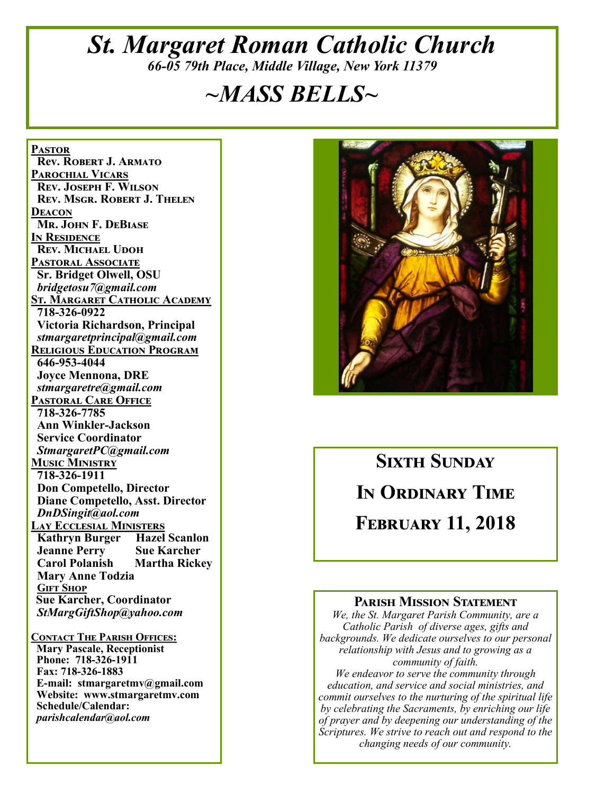# *St. Margaret Roman Catholic Church 66-05 79th Place, Middle Village, New York 11379*

# *~MASS BELLS~*

**Pastor Rev. Robert J. Armato Parochial Vicars Rev. Joseph F. Wilson Rev. Msgr. Robert J. Thelen Deacon Mr. John F. DeBiase In Residence Rev. Michael Udoh Pastoral Associate Sr. Bridget Olwell, OSU**  *bridgetosu7@gmail.com* **St. Margaret Catholic Academy 718-326-0922 Victoria Richardson, Principal**  *stmargaretprincipal@gmail.com* **Religious Education Program 646-953-4044 Joyce Mennona, DRE** *stmargaretre@gmail.com* **Pastoral Care Office 718-326-7785 Ann Winkler-Jackson Service Coordinator** *StmargaretPC@gmail.com* **Music Ministry 718-326-1911 Don Competello, Director Diane Competello, Asst. Director** *DnDSingit@aol.com* **Lay Ecclesial Ministers Kathryn Burger Hazel Scanlon Jeanne Perry Sue Karcher Martha Rickey Mary Anne Todzia Gift Shop Sue Karcher, Coordinator** *StMargGiftShop@yahoo.com* **Contact The Parish Offices:**

 **Mary Pascale, Receptionist Phone: 718-326-1911 Fax: 718-326-1883 E-mail: stmargaretmv@gmail.com Website: www.stmargaretmv.com Schedule/Calendar:** *parishcalendar@aol.com* 



**Sixth Sunday In Ordinary Time February 11, 2018** 

#### **Parish Mission Statement**

*We, the St. Margaret Parish Community, are a Catholic Parish of diverse ages, gifts and backgrounds. We dedicate ourselves to our personal relationship with Jesus and to growing as a community of faith.*

*We endeavor to serve the community through education, and service and social ministries, and commit ourselves to the nurturing of the spiritual life by celebrating the Sacraments, by enriching our life of prayer and by deepening our understanding of the Scriptures. We strive to reach out and respond to the changing needs of our community.*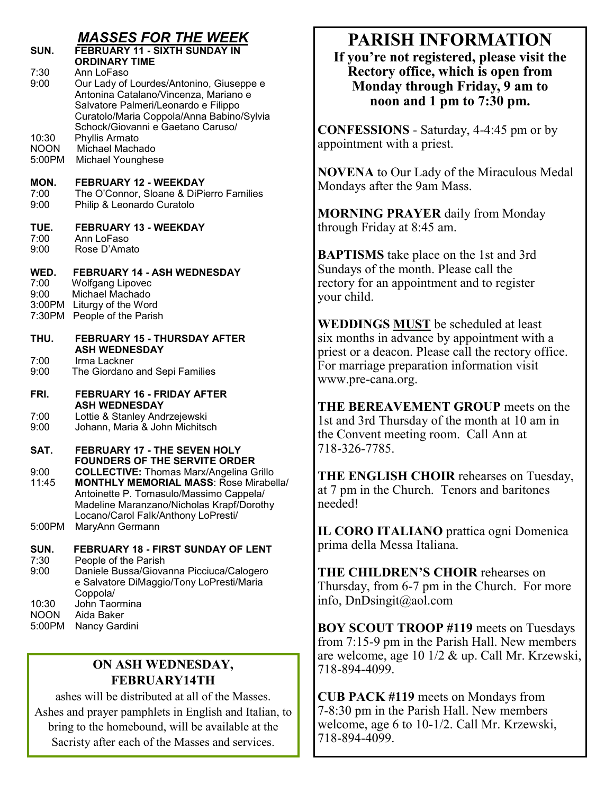| SUN.<br>7:30<br>9:00                     | <u>MASSES FOR THE WEEK</u><br><b>FEBRUARY 11 - SIXTH SUNDAY IN</b><br><b>ORDINARY TIME</b><br>Ann LoFaso<br>Our Lady of Lourdes/Antonino, Giuseppe e<br>Antonina Catalano/Vincenza, Mariano e<br>Salvatore Palmeri/Leonardo e Filippo<br>Curatolo/Maria Coppola/Anna Babino/Sylvia<br>Schock/Giovanni e Gaetano Caruso/ |
|------------------------------------------|-------------------------------------------------------------------------------------------------------------------------------------------------------------------------------------------------------------------------------------------------------------------------------------------------------------------------|
| 10:30<br><b>NOON</b><br>5:00PM           | Phyllis Armato<br>Michael Machado<br>Michael Younghese                                                                                                                                                                                                                                                                  |
| MON.<br>7:00<br>9:00                     | <b>FEBRUARY 12 - WEEKDAY</b><br>The O'Connor, Sloane & DiPierro Families<br>Philip & Leonardo Curatolo                                                                                                                                                                                                                  |
| TUE.<br>7:00<br>9:00                     | <b>FEBRUARY 13 - WEEKDAY</b><br>Ann LoFaso<br>Rose D'Amato                                                                                                                                                                                                                                                              |
| WED.<br>7:00<br>9:00<br>3:00PM<br>7:30PM | <b>FEBRUARY 14 - ASH WEDNESDAY</b><br><b>Wolfgang Lipovec</b><br>Michael Machado<br>Liturgy of the Word<br>People of the Parish                                                                                                                                                                                         |
| THU.<br>7:00<br>9:00                     | <b>FEBRUARY 15 - THURSDAY AFTER</b><br><b>ASH WEDNESDAY</b><br>Irma Lackner<br>The Giordano and Sepi Families                                                                                                                                                                                                           |
| FRI.<br>7:00<br>9:00                     | FEBRUARY 16 - FRIDAY AFTER<br><b>ASH WEDNESDAY</b><br>Lottie & Stanley Andrzejewski<br>Johann, Maria & John Michitsch                                                                                                                                                                                                   |
| SAT.                                     | <b>FEBRUARY 17 - THE SEVEN HOLY</b>                                                                                                                                                                                                                                                                                     |
| 9:00<br>11:45                            | <b>FOUNDERS OF THE SERVITE ORDER</b><br><b>COLLECTIVE: Thomas Marx/Angelina Grillo</b><br><b>MONTHLY MEMORIAL MASS: Rose Mirabella/</b><br>Antoinette P. Tomasulo/Massimo Cappela/<br>Madeline Maranzano/Nicholas Krapf/Dorothy<br>Locano/Carol Falk/Anthony LoPresti/                                                  |
| 5:00PM                                   | MaryAnn Germann                                                                                                                                                                                                                                                                                                         |
| SUN.<br>7:30<br>9:00<br>10:30            | FEBRUARY 18 - FIRST SUNDAY OF LENT<br>People of the Parish<br>Daniele Bussa/Giovanna Picciuca/Calogero<br>e Salvatore DiMaggio/Tony LoPresti/Maria<br>Coppola/<br>John Taormina                                                                                                                                         |
| NOMI                                     | Aide Poker                                                                                                                                                                                                                                                                                                              |

NOON Aida Baker 5:00PM Nancy Gardini

### **ON ASH WEDNESDAY, FEBRUARY14TH**

ashes will be distributed at all of the Masses. Ashes and prayer pamphlets in English and Italian, to bring to the homebound, will be available at the Sacristy after each of the Masses and services.

# **PARISH INFORMATION**

**If you're not registered, please visit the Rectory office, which is open from Monday through Friday, 9 am to noon and 1 pm to 7:30 pm.**

**CONFESSIONS** - Saturday, 4-4:45 pm or by appointment with a priest.

**NOVENA** to Our Lady of the Miraculous Medal Mondays after the 9am Mass.

**MORNING PRAYER** daily from Monday through Friday at 8:45 am.

**BAPTISMS** take place on the 1st and 3rd Sundays of the month. Please call the rectory for an appointment and to register your child.

**WEDDINGS MUST** be scheduled at least six months in advance by appointment with a priest or a deacon. Please call the rectory office. For marriage preparation information visit www.pre-cana.org.

**THE BEREAVEMENT GROUP** meets on the 1st and 3rd Thursday of the month at 10 am in the Convent meeting room. Call Ann at 718-326-7785.

**THE ENGLISH CHOIR** rehearses on Tuesday, at 7 pm in the Church. Tenors and baritones needed!

**IL CORO ITALIANO** prattica ogni Domenica prima della Messa Italiana.

**THE CHILDREN'S CHOIR** rehearses on Thursday, from 6-7 pm in the Church. For more info, DnDsingit@aol.com

**BOY SCOUT TROOP #119** meets on Tuesdays from 7:15-9 pm in the Parish Hall. New members are welcome, age 10 1/2 & up. Call Mr. Krzewski, 718-894-4099.

**CUB PACK #119** meets on Mondays from 7-8:30 pm in the Parish Hall. New members welcome, age 6 to 10-1/2. Call Mr. Krzewski, 718-894-4099.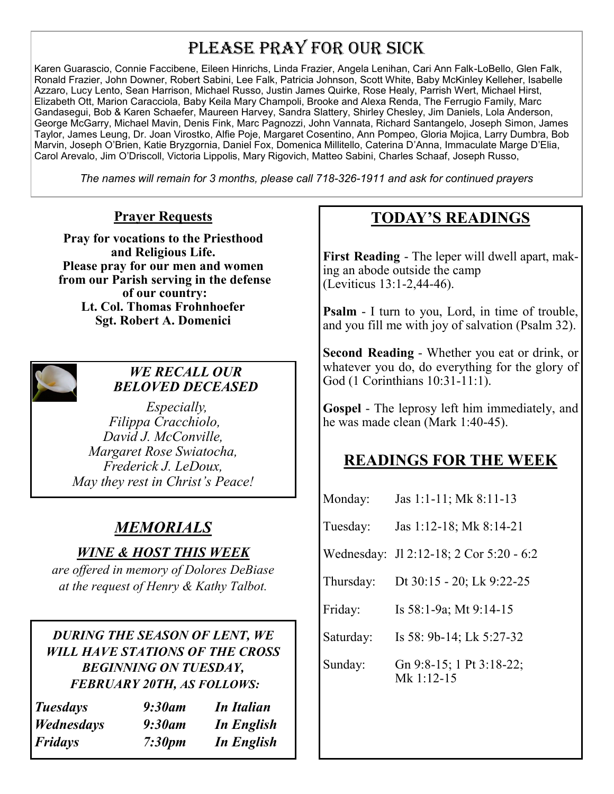# PLEASE PRAY FOR OUR SICK

Karen Guarascio, Connie Faccibene, Eileen Hinrichs, Linda Frazier, Angela Lenihan, Cari Ann Falk-LoBello, Glen Falk, Ronald Frazier, John Downer, Robert Sabini, Lee Falk, Patricia Johnson, Scott White, Baby McKinley Kelleher, Isabelle Azzaro, Lucy Lento, Sean Harrison, Michael Russo, Justin James Quirke, Rose Healy, Parrish Wert, Michael Hirst, Elizabeth Ott, Marion Caracciola, Baby Keila Mary Champoli, Brooke and Alexa Renda, The Ferrugio Family, Marc Gandasegui, Bob & Karen Schaefer, Maureen Harvey, Sandra Slattery, Shirley Chesley, Jim Daniels, Lola Anderson, George McGarry, Michael Mavin, Denis Fink, Marc Pagnozzi, John Vannata, Richard Santangelo, Joseph Simon, James Taylor, James Leung, Dr. Joan Virostko, Alfie Poje, Margaret Cosentino, Ann Pompeo, Gloria Mojica, Larry Dumbra, Bob Marvin, Joseph O'Brien, Katie Bryzgornia, Daniel Fox, Domenica Millitello, Caterina D'Anna, Immaculate Marge D'Elia, Carol Arevalo, Jim O'Driscoll, Victoria Lippolis, Mary Rigovich, Matteo Sabini, Charles Schaaf, Joseph Russo,

*The names will remain for 3 months, please call 718-326-1911 and ask for continued prayers*

### **Prayer Requests**

**Pray for vocations to the Priesthood and Religious Life. Please pray for our men and women from our Parish serving in the defense of our country: Lt. Col. Thomas Frohnhoefer Sgt. Robert A. Domenici** 



### *WE RECALL OUR BELOVED DECEASED*

 *Especially, Filippa Cracchiolo, David J. McConville, Margaret Rose Swiatocha, Frederick J. LeDoux, May they rest in Christ's Peace!*

# *MEMORIALS*

### *WINE & HOST THIS WEEK*

*are offered in memory of Dolores DeBiase at the request of Henry & Kathy Talbot.*

*DURING THE SEASON OF LENT, WE WILL HAVE STATIONS OF THE CROSS BEGINNING ON TUESDAY, FEBRUARY 20TH, AS FOLLOWS:*

| <i>Tuesdays</i> | $9:30$ am | <b>In Italian</b> |
|-----------------|-----------|-------------------|
| Wednesdays      | 9:30am    | In English        |
| Fridays         | 7:30pm    | In English        |

# **TODAY'S READINGS**

**First Reading** - The leper will dwell apart, making an abode outside the camp (Leviticus 13:1-2,44-46).

**Psalm** - I turn to you, Lord, in time of trouble, and you fill me with joy of salvation (Psalm 32).

**Second Reading** - Whether you eat or drink, or whatever you do, do everything for the glory of God (1 Corinthians 10:31-11:1).

**Gospel** - The leprosy left him immediately, and he was made clean (Mark 1:40-45).

### **READINGS FOR THE WEEK**

| Monday:   | Jas 1:1-11; Mk 8:11-13                   |
|-----------|------------------------------------------|
| Tuesday:  | Jas 1:12-18; Mk 8:14-21                  |
|           | Wednesday: J1 2:12-18; 2 Cor 5:20 - 6:2  |
| Thursday: | Dt 30:15 - 20; Lk 9:22-25                |
| Friday:   | Is 58:1-9a; Mt 9:14-15                   |
| Saturday: | Is 58: 9b-14; Lk 5:27-32                 |
| Sunday:   | Gn 9:8-15; 1 Pt 3:18-22;<br>Mk $1:12-15$ |
|           |                                          |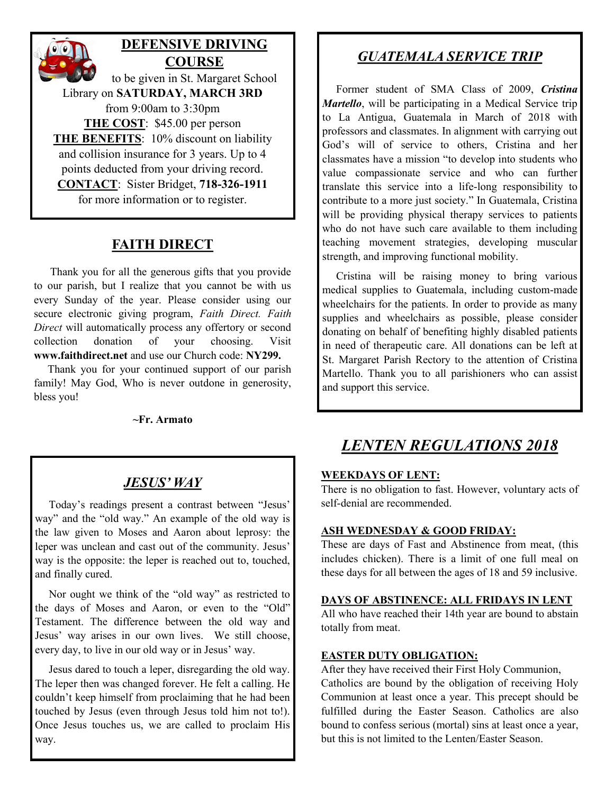# **DEFENSIVE DRIVING COURSE**

to be given in St. Margaret School Library on **SATURDAY, MARCH 3RD** from 9:00am to 3:30pm **THE COST**: \$45.00 per person **THE BENEFITS**: 10% discount on liability and collision insurance for 3 years. Up to 4 points deducted from your driving record. **CONTACT**: Sister Bridget, **718-326-1911** for more information or to register.

### **FAITH DIRECT**

 Thank you for all the generous gifts that you provide to our parish, but I realize that you cannot be with us every Sunday of the year. Please consider using our secure electronic giving program, *Faith Direct. Faith Direct* will automatically process any offertory or second collection donation of your choosing. Visit **www.faithdirect.net** and use our Church code: **NY299.**

 Thank you for your continued support of our parish family! May God, Who is never outdone in generosity, bless you!

**~Fr. Armato**

### *JESUS' WAY*

 Today's readings present a contrast between "Jesus' way" and the "old way." An example of the old way is the law given to Moses and Aaron about leprosy: the leper was unclean and cast out of the community. Jesus' way is the opposite: the leper is reached out to, touched, and finally cured.

 Nor ought we think of the "old way" as restricted to the days of Moses and Aaron, or even to the "Old" Testament. The difference between the old way and Jesus' way arises in our own lives. We still choose, every day, to live in our old way or in Jesus' way.

 Jesus dared to touch a leper, disregarding the old way. The leper then was changed forever. He felt a calling. He couldn't keep himself from proclaiming that he had been touched by Jesus (even through Jesus told him not to!). Once Jesus touches us, we are called to proclaim His way.

## *GUATEMALA SERVICE TRIP*

 Former student of SMA Class of 2009, *Cristina Martello*, will be participating in a Medical Service trip to La Antigua, Guatemala in March of 2018 with professors and classmates. In alignment with carrying out God's will of service to others, Cristina and her classmates have a mission "to develop into students who value compassionate service and who can further translate this service into a life-long responsibility to contribute to a more just society." In Guatemala, Cristina will be providing physical therapy services to patients who do not have such care available to them including teaching movement strategies, developing muscular strength, and improving functional mobility.

 Cristina will be raising money to bring various medical supplies to Guatemala, including custom-made wheelchairs for the patients. In order to provide as many supplies and wheelchairs as possible, please consider donating on behalf of benefiting highly disabled patients in need of therapeutic care. All donations can be left at St. Margaret Parish Rectory to the attention of Cristina Martello. Thank you to all parishioners who can assist and support this service.

# *LENTEN REGULATIONS 2018*

#### **WEEKDAYS OF LENT:**

There is no obligation to fast. However, voluntary acts of self-denial are recommended.

#### **ASH WEDNESDAY & GOOD FRIDAY:**

These are days of Fast and Abstinence from meat, (this includes chicken). There is a limit of one full meal on these days for all between the ages of 18 and 59 inclusive.

#### **DAYS OF ABSTINENCE: ALL FRIDAYS IN LENT**

All who have reached their 14th year are bound to abstain totally from meat.

#### **EASTER DUTY OBLIGATION:**

After they have received their First Holy Communion, Catholics are bound by the obligation of receiving Holy Communion at least once a year. This precept should be fulfilled during the Easter Season. Catholics are also bound to confess serious (mortal) sins at least once a year, but this is not limited to the Lenten/Easter Season.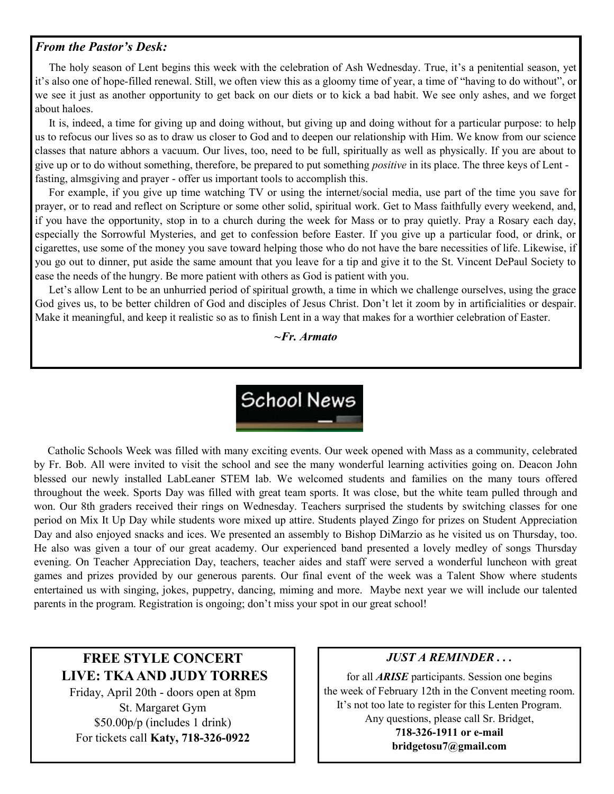#### *From the Pastor's Desk:*

 The holy season of Lent begins this week with the celebration of Ash Wednesday. True, it's a penitential season, yet it's also one of hope-filled renewal. Still, we often view this as a gloomy time of year, a time of "having to do without", or we see it just as another opportunity to get back on our diets or to kick a bad habit. We see only ashes, and we forget about haloes.

 It is, indeed, a time for giving up and doing without, but giving up and doing without for a particular purpose: to help us to refocus our lives so as to draw us closer to God and to deepen our relationship with Him. We know from our science classes that nature abhors a vacuum. Our lives, too, need to be full, spiritually as well as physically. If you are about to give up or to do without something, therefore, be prepared to put something *positive* in its place. The three keys of Lent fasting, almsgiving and prayer - offer us important tools to accomplish this.

 For example, if you give up time watching TV or using the internet/social media, use part of the time you save for prayer, or to read and reflect on Scripture or some other solid, spiritual work. Get to Mass faithfully every weekend, and, if you have the opportunity, stop in to a church during the week for Mass or to pray quietly. Pray a Rosary each day, especially the Sorrowful Mysteries, and get to confession before Easter. If you give up a particular food, or drink, or cigarettes, use some of the money you save toward helping those who do not have the bare necessities of life. Likewise, if you go out to dinner, put aside the same amount that you leave for a tip and give it to the St. Vincent DePaul Society to ease the needs of the hungry. Be more patient with others as God is patient with you.

Let's allow Lent to be an unhurried period of spiritual growth, a time in which we challenge ourselves, using the grace God gives us, to be better children of God and disciples of Jesus Christ. Don't let it zoom by in artificialities or despair. Make it meaningful, and keep it realistic so as to finish Lent in a way that makes for a worthier celebration of Easter.

*~Fr. Armato*



 Catholic Schools Week was filled with many exciting events. Our week opened with Mass as a community, celebrated by Fr. Bob. All were invited to visit the school and see the many wonderful learning activities going on. Deacon John blessed our newly installed LabLeaner STEM lab. We welcomed students and families on the many tours offered throughout the week. Sports Day was filled with great team sports. It was close, but the white team pulled through and won. Our 8th graders received their rings on Wednesday. Teachers surprised the students by switching classes for one period on Mix It Up Day while students wore mixed up attire. Students played Zingo for prizes on Student Appreciation Day and also enjoyed snacks and ices. We presented an assembly to Bishop DiMarzio as he visited us on Thursday, too. He also was given a tour of our great academy. Our experienced band presented a lovely medley of songs Thursday evening. On Teacher Appreciation Day, teachers, teacher aides and staff were served a wonderful luncheon with great games and prizes provided by our generous parents. Our final event of the week was a Talent Show where students entertained us with singing, jokes, puppetry, dancing, miming and more. Maybe next year we will include our talented parents in the program. Registration is ongoing; don't miss your spot in our great school!

### **FREE STYLE CONCERT LIVE: TKA AND JUDY TORRES**

Friday, April 20th - doors open at 8pm St. Margaret Gym \$50.00p/p (includes 1 drink) For tickets call **Katy, 718-326-0922**

#### *JUST A REMINDER . . .*

for all *ARISE* participants. Session one begins the week of February 12th in the Convent meeting room. It's not too late to register for this Lenten Program. Any questions, please call Sr. Bridget, **718-326-1911 or e-mail bridgetosu7@gmail.com**